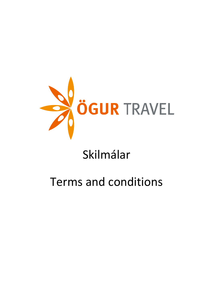

# Skilmálar

# **Terms and conditions**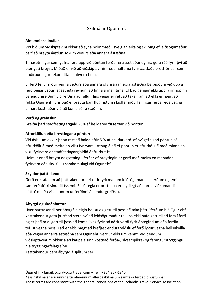# Skilmálar Ögur ehf.

#### **Almennir skilmálar**

Við biðjum viðskiptavini okkar að sýna þolinmæði, sveigjanleika og skilning ef leiðsögumaður þarf að breyta áætlun sökum veðurs eða annara ástæðna.

Tímasetningar sem gefnar eru upp við pöntun ferðar eru áætlaðar og má gera ráð fyrir því að þær geti breyst. Miðað er við að viðskiptavinir mæti hálftíma fyrir áætlaða brottför þar sem undirbúningur tekur alltaf einhvern tíma.

Ef ferð fellur niður vegna veðurs eða annara ófyrirsjáanlegra ástæðna þá bjóðum við upp á ferð þegar veður lagast eða reynum að finna annan tíma. Ef það gengur ekki upp fyrir hópinn þá endurgreiðum við ferðina að fullu. Hins vegar er rétt að taka fram að ekki er hægt að rukka Ögur ehf. fyrir það ef breyta þarf flugmiðum í kjölfar niðurfellingar ferðar eða vegna annars kostnaðar við að koma sér á staðinn.

#### **Verð og greiðslur**

Greiða þarf staðfestingargjald 25% af heildarverði ferðar við pöntun.

## **Afturköllun eða breytingar á pöntun**

Við áskiljum okkur þann rétt að halda eftir 5 % af heildarverði af því gefnu að pöntun sé afturkölluð með meira en viku fyrirvara. Athugið að ef pöntun er afturkölluð með minna en viku fyrirvara er staðfestingargjaldið óafturkræft.

Heimilt er að breyta dagsetningu ferðar ef breytingin er gerð með meira en mánaðar fyrirvara eða skv. fullu samkomulagi við Ögur ehf.

## **Skyldur þátttakenda**

Gerð er krafa um að þátttakendur fari eftir fyrirmælum leiðsögumanns í ferðum og sýni samferðafólki sínu tillitssemi. Ef sú regla er brotin þá er leyfilegt að hamla viðkomandi þátttöku eða vísa honum úr ferðinni án endurgreiðslu.

## **Ábyrgð og skaðabætur**

Hver þátttakandi ber ábyrgð á eigin heilsu og getu til þess að taka þátt í ferðum hjá Ögur ehf. Þátttakendur geta þurft að sæta því að leiðsögumaður telji þá ekki hafa getu til að fara í ferð og er það m.a. gert til þess að koma í veg fyrir að aðrir verði fyrir óþægindum eða ferðin tefjist vegna þess. Það er ekki hægt að krefjast endurgreiðslu ef ferð lýkur vegna heilsukvilla eða vegna annarra ástæðna sem Ögur ehf. verður ekki um kennt. Við bendum viðskiptavinum okkur á að kaupa á sinn kostnað ferða-, slysa/sjúkra- og farangurstryggingu hjá tryggingarfélagi sínu.

Þátttakendur bera ábyrgð á sjálfum sér.

Ögur ehf. • Email: ogur@ogurtravel.com • Tel: +354 857-1840 Þessir skilmálar eru unnir eftir almennum alferðaskilmálum samtaka ferðaþjónustunnar These terms are consistent with the general conditions of the Icelandic Travel Service Association